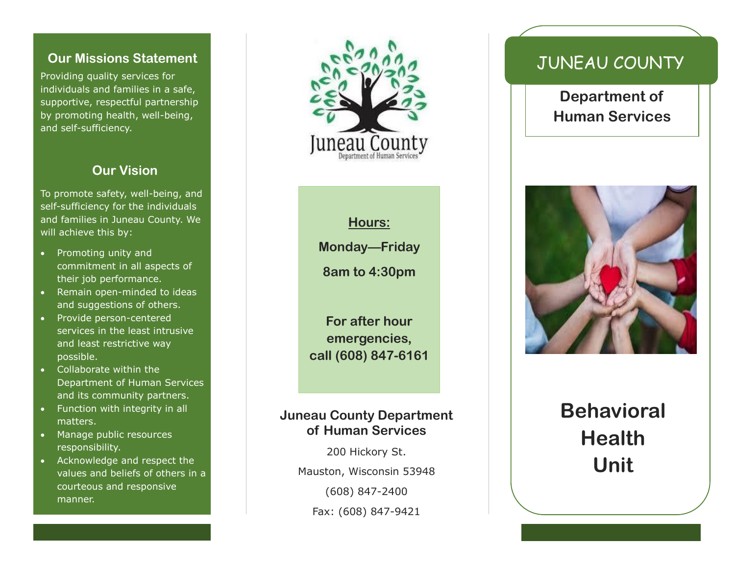#### **Our Missions Statement**

Providing quality services for individuals and families in a safe, supportive, respectful partnership by promoting health, well-being, and self-sufficiency.

#### **Our Vision**

To promote safety, well-being, and self-sufficiency for the individuals and families in Juneau County. We will achieve this by:

- Promoting unity and commitment in all aspects of their job performance.
- Remain open-minded to ideas and suggestions of others.
- Provide person-centered services in the least intrusive and least restrictive way possible.
- Collaborate within the Department of Human Services and its community partners.
- Function with integrity in all matters.
- Manage public resources responsibility.
- Acknowledge and respect the values and beliefs of others in a courteous and responsive manner.



**Hours:**

**Monday—Friday**

**8am to 4:30pm**

**For after hour emergencies, call (608) 847-6161**

#### **Juneau County Department of Human Services**

200 Hickory St. Mauston, Wisconsin 53948 (608) 847-2400 Fax: (608) 847-9421

## JUNEAU COUNTY

**Department of Human Services**



# **Behavioral Health Unit**